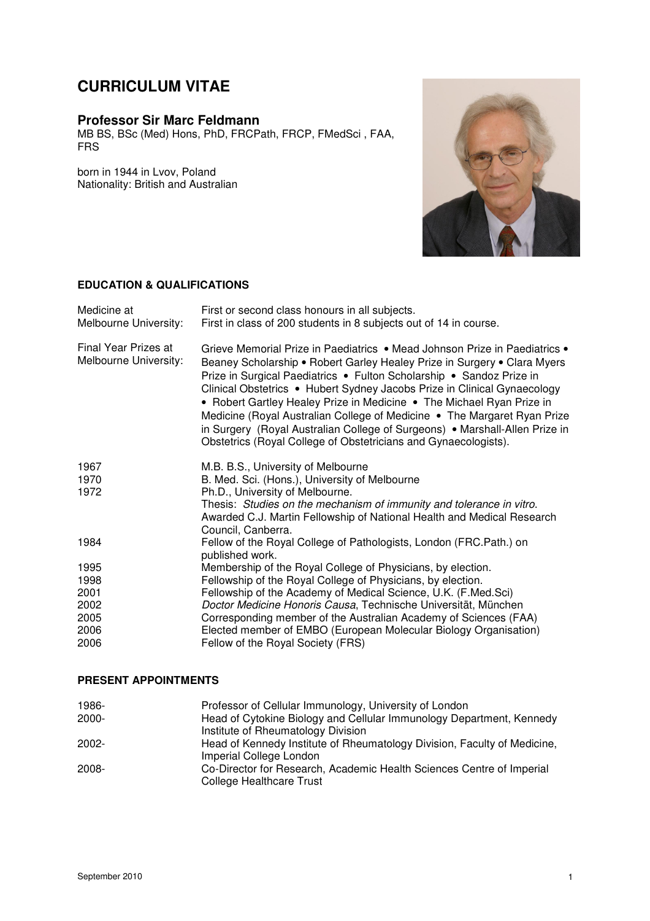# **CURRICULUM VITAE**

## **Professor Sir Marc Feldmann**

MB BS, BSc (Med) Hons, PhD, FRCPath, FRCP, FMedSci , FAA, FRS

born in 1944 in Lvov, Poland Nationality: British and Australian



#### **EDUCATION & QUALIFICATIONS**

| Medicine at<br>Melbourne University:          | First or second class honours in all subjects.<br>First in class of 200 students in 8 subjects out of 14 in course.                                                                                                                                                                                                                                                                                                                                                                                                                                                                                               |
|-----------------------------------------------|-------------------------------------------------------------------------------------------------------------------------------------------------------------------------------------------------------------------------------------------------------------------------------------------------------------------------------------------------------------------------------------------------------------------------------------------------------------------------------------------------------------------------------------------------------------------------------------------------------------------|
| Final Year Prizes at<br>Melbourne University: | Grieve Memorial Prize in Paediatrics • Mead Johnson Prize in Paediatrics •<br>Beaney Scholarship • Robert Garley Healey Prize in Surgery • Clara Myers<br>Prize in Surgical Paediatrics . Fulton Scholarship . Sandoz Prize in<br>Clinical Obstetrics • Hubert Sydney Jacobs Prize in Clinical Gynaecology<br>• Robert Gartley Healey Prize in Medicine • The Michael Ryan Prize in<br>Medicine (Royal Australian College of Medicine • The Margaret Ryan Prize<br>in Surgery (Royal Australian College of Surgeons) • Marshall-Allen Prize in<br>Obstetrics (Royal College of Obstetricians and Gynaecologists). |
| 1967                                          | M.B. B.S., University of Melbourne                                                                                                                                                                                                                                                                                                                                                                                                                                                                                                                                                                                |
| 1970                                          | B. Med. Sci. (Hons.), University of Melbourne                                                                                                                                                                                                                                                                                                                                                                                                                                                                                                                                                                     |
| 1972                                          | Ph.D., University of Melbourne.                                                                                                                                                                                                                                                                                                                                                                                                                                                                                                                                                                                   |
|                                               | Thesis: Studies on the mechanism of immunity and tolerance in vitro.<br>Awarded C.J. Martin Fellowship of National Health and Medical Research<br>Council, Canberra.                                                                                                                                                                                                                                                                                                                                                                                                                                              |
| 1984                                          | Fellow of the Royal College of Pathologists, London (FRC.Path.) on<br>published work.                                                                                                                                                                                                                                                                                                                                                                                                                                                                                                                             |
| 1995                                          | Membership of the Royal College of Physicians, by election.                                                                                                                                                                                                                                                                                                                                                                                                                                                                                                                                                       |
| 1998                                          | Fellowship of the Royal College of Physicians, by election.                                                                                                                                                                                                                                                                                                                                                                                                                                                                                                                                                       |
| 2001                                          | Fellowship of the Academy of Medical Science, U.K. (F.Med.Sci)                                                                                                                                                                                                                                                                                                                                                                                                                                                                                                                                                    |
| 2002                                          | Doctor Medicine Honoris Causa, Technische Universität, München                                                                                                                                                                                                                                                                                                                                                                                                                                                                                                                                                    |
| 2005                                          | Corresponding member of the Australian Academy of Sciences (FAA)                                                                                                                                                                                                                                                                                                                                                                                                                                                                                                                                                  |
| 2006                                          | Elected member of EMBO (European Molecular Biology Organisation)                                                                                                                                                                                                                                                                                                                                                                                                                                                                                                                                                  |
| 2006                                          | Fellow of the Royal Society (FRS)                                                                                                                                                                                                                                                                                                                                                                                                                                                                                                                                                                                 |

#### **PRESENT APPOINTMENTS**

| 1986-    | Professor of Cellular Immunology, University of London                   |
|----------|--------------------------------------------------------------------------|
| $2000 -$ | Head of Cytokine Biology and Cellular Immunology Department, Kennedy     |
|          | Institute of Rheumatology Division                                       |
| $2002 -$ | Head of Kennedy Institute of Rheumatology Division, Faculty of Medicine, |
|          | Imperial College London                                                  |
| 2008-    | Co-Director for Research, Academic Health Sciences Centre of Imperial    |
|          | College Healthcare Trust                                                 |